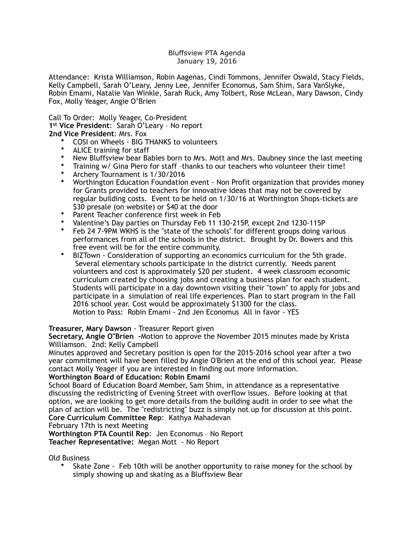## Bluffsview PTA Agenda January 19, 2016

Attendance: Krista Williamson, Robin Aagenas, Cindi Tommons, Jennifer Oswald, Stacy Fields, Kelly Campbell, Sarah O'Leary, Jenny Lee, Jennifer Economus, Sam Shim, Sara VanSlyke, Robin Emami, Natalie Van Winkle, Sarah Ruck, Amy Tolbert, Rose McLean, Mary Dawson, Cindy Fox, Molly Yeager, Angie O'Brien

Call To Order: Molly Yeager, Co-President **1st Vice President**: Sarah O'Leary – No report **2nd Vice President**: Mrs. Fox

- COSI on Wheels BIG THANKS to volunteers
- ALICE training for staff
- New Bluffsview bear Babies born to Mrs. Mott and Mrs. Daubney since the last meeting
- Training w/ Gina Piero for staff –thanks to our teachers who volunteer their time!
- Archery Tournament is 1/30/2016
- Worthington Education Foundation event Non Profit organization that provides money for Grants provided to teachers for innovative ideas that may not be covered by regular building costs. Event to be held on 1/30/16 at Worthington Shops-tickets are \$30 presale (on website) or \$40 at the door
- Parent Teacher conference first week in Feb
- Valentine's Day parties on Thursday Feb 11 130-215P, except 2nd 1230-115P
- Feb 24 7-9PM WKHS is the "state of the schools" for different groups doing various performances from all of the schools in the district. Brought by Dr. Bowers and this free event will be for the entire community.
- BIZTown Consideration of supporting an economics curriculum for the 5th grade. Several elementary schools participate in the district currently. Needs parent volunteers and cost is approximately \$20 per student. 4 week classroom economic curriculum created by choosing jobs and creating a business plan for each student. Students will participate in a day downtown visiting their "town" to apply for jobs and participate in a simulation of real life experiences. Plan to start program in the Fall 2016 school year. Cost would be approximately \$1300 for the class. Motion to Pass: Robin Emami - 2nd Jen Economus All in favor - YES

## **Treasurer, Mary Dawson** - Treasurer Report given

**Secretary, Angie O"Brien -**Motion to approve the November 2015 minutes made by Krista Williamson. 2nd: Kelly Campbell

Minutes approved and Secretary position is open for the 2015-2016 school year after a two year commitment will have been filled by Angie O'Brien at the end of this school year. Please contact Molly Yeager if you are interested in finding out more information.

## **Worthington Board of Education: Robin Emami**

School Board of Education Board Member, Sam Shim, in attendance as a representative discussing the redistricting of Evening Street with overflow issues. Before looking at that option, we are looking to get more details from the building audit in order to see what the plan of action will be. The "redistricting" buzz is simply not up for discussion at this point. **Core Curriculum Committee Rep**: Kathya Mahadevan

February 17th is next Meeting

**Worthington PTA Countil Rep**: Jen Economus – No Report **Teacher Representative:** Megan Mott - No Report

Old Business

• Skate Zone - Feb 10th will be another opportunity to raise money for the school by simply showing up and skating as a Bluffsview Bear